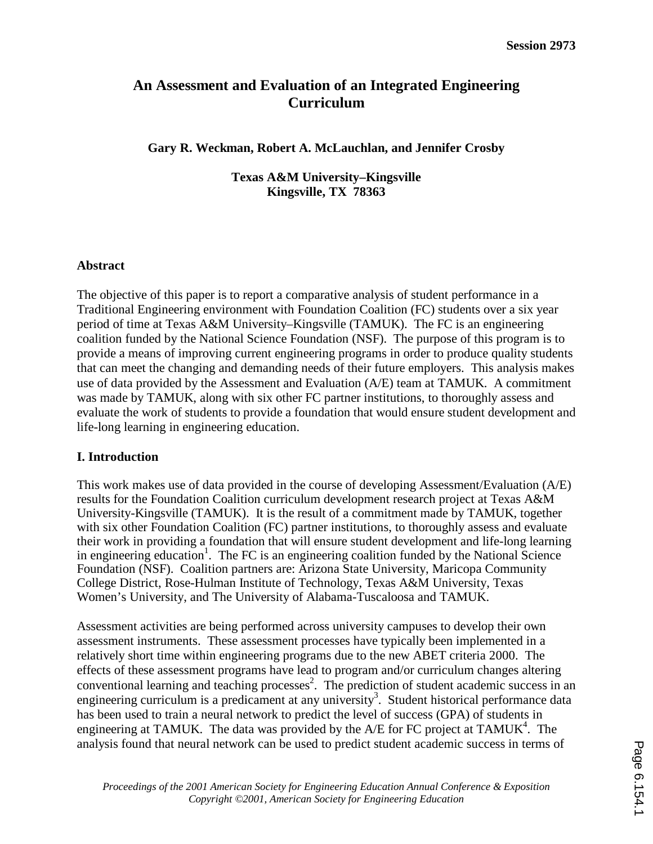# **An Assessment and Evaluation of an Integrated Engineering Curriculum**

**Gary R. Weckman, Robert A. McLauchlan, and Jennifer Crosby** 

**Texas A&M University–Kingsville Kingsville, TX 78363** 

### **Abstract**

The objective of this paper is to report a comparative analysis of student performance in a Traditional Engineering environment with Foundation Coalition (FC) students over a six year period of time at Texas A&M University–Kingsville (TAMUK). The FC is an engineering coalition funded by the National Science Foundation (NSF). The purpose of this program is to provide a means of improving current engineering programs in order to produce quality students that can meet the changing and demanding needs of their future employers. This analysis makes use of data provided by the Assessment and Evaluation (A/E) team at TAMUK. A commitment was made by TAMUK, along with six other FC partner institutions, to thoroughly assess and evaluate the work of students to provide a foundation that would ensure student development and life-long learning in engineering education.

## **I. Introduction**

This work makes use of data provided in the course of developing Assessment/Evaluation (A/E) results for the Foundation Coalition curriculum development research project at Texas A&M University-Kingsville (TAMUK). It is the result of a commitment made by TAMUK, together with six other Foundation Coalition (FC) partner institutions, to thoroughly assess and evaluate their work in providing a foundation that will ensure student development and life-long learning in engineering education<sup>1</sup>. The FC is an engineering coalition funded by the National Science Foundation (NSF). Coalition partners are: Arizona State University, Maricopa Community College District, Rose-Hulman Institute of Technology, Texas A&M University, Texas Women's University, and The University of Alabama-Tuscaloosa and TAMUK.

Assessment activities are being performed across university campuses to develop their own assessment instruments. These assessment processes have typically been implemented in a relatively short time within engineering programs due to the new ABET criteria 2000. The effects of these assessment programs have lead to program and/or curriculum changes altering conventional learning and teaching processes<sup>2</sup>. The prediction of student academic success in an engineering curriculum is a predicament at any university<sup>3</sup>. Student historical performance data has been used to train a neural network to predict the level of success (GPA) of students in engineering at TAMUK. The data was provided by the A/E for FC project at TAMUK<sup>4</sup>. The analysis found that neural network can be used to predict student academic success in terms of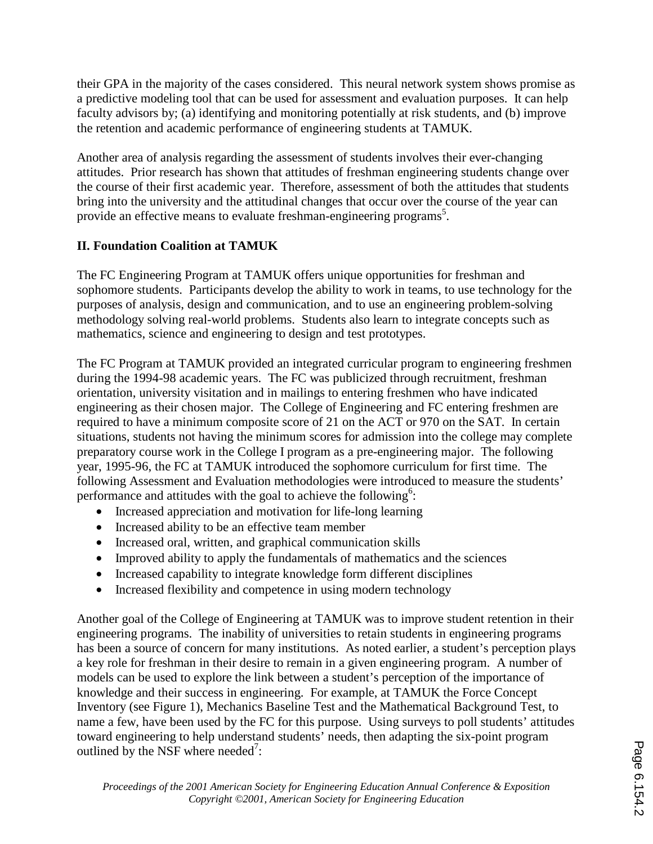their GPA in the majority of the cases considered. This neural network system shows promise as a predictive modeling tool that can be used for assessment and evaluation purposes. It can help faculty advisors by; (a) identifying and monitoring potentially at risk students, and (b) improve the retention and academic performance of engineering students at TAMUK.

Another area of analysis regarding the assessment of students involves their ever-changing attitudes. Prior research has shown that attitudes of freshman engineering students change over the course of their first academic year. Therefore, assessment of both the attitudes that students bring into the university and the attitudinal changes that occur over the course of the year can provide an effective means to evaluate freshman-engineering programs<sup>5</sup>.

# **II. Foundation Coalition at TAMUK**

The FC Engineering Program at TAMUK offers unique opportunities for freshman and sophomore students. Participants develop the ability to work in teams, to use technology for the purposes of analysis, design and communication, and to use an engineering problem-solving methodology solving real-world problems. Students also learn to integrate concepts such as mathematics, science and engineering to design and test prototypes.

The FC Program at TAMUK provided an integrated curricular program to engineering freshmen during the 1994-98 academic years. The FC was publicized through recruitment, freshman orientation, university visitation and in mailings to entering freshmen who have indicated engineering as their chosen major. The College of Engineering and FC entering freshmen are required to have a minimum composite score of 21 on the ACT or 970 on the SAT. In certain situations, students not having the minimum scores for admission into the college may complete preparatory course work in the College I program as a pre-engineering major. The following year, 1995-96, the FC at TAMUK introduced the sophomore curriculum for first time. The following Assessment and Evaluation methodologies were introduced to measure the students' performance and attitudes with the goal to achieve the following<sup>6</sup>:

- Increased appreciation and motivation for life-long learning
- Increased ability to be an effective team member
- Increased oral, written, and graphical communication skills
- Improved ability to apply the fundamentals of mathematics and the sciences
- Increased capability to integrate knowledge form different disciplines
- Increased flexibility and competence in using modern technology

Another goal of the College of Engineering at TAMUK was to improve student retention in their engineering programs. The inability of universities to retain students in engineering programs has been a source of concern for many institutions. As noted earlier, a student's perception plays a key role for freshman in their desire to remain in a given engineering program. A number of models can be used to explore the link between a student's perception of the importance of knowledge and their success in engineering. For example, at TAMUK the Force Concept Inventory (see Figure 1), Mechanics Baseline Test and the Mathematical Background Test, to name a few, have been used by the FC for this purpose. Using surveys to poll students' attitudes toward engineering to help understand students' needs, then adapting the six-point program outlined by the NSF where needed<sup>7</sup>: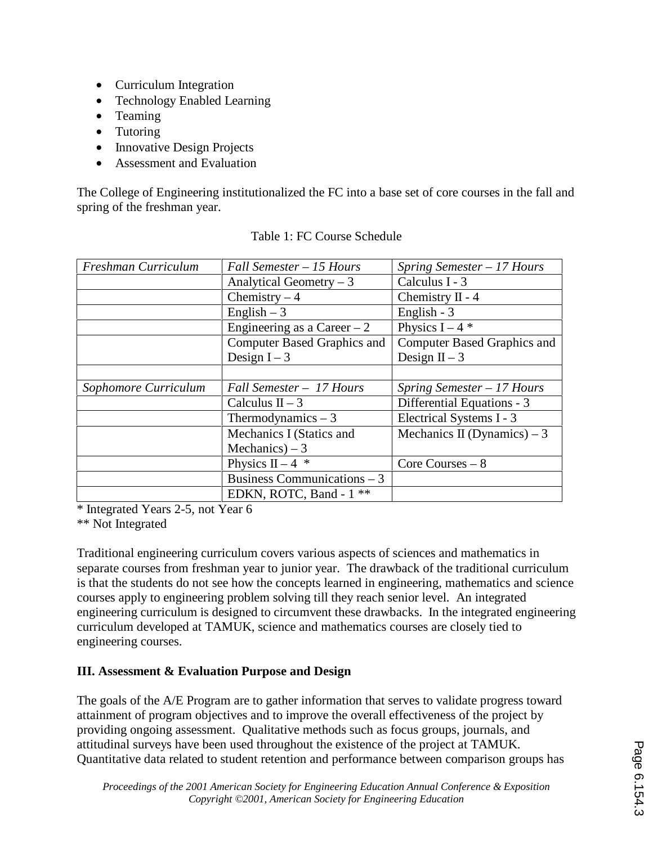- Curriculum Integration
- Technology Enabled Learning
- Teaming
- Tutoring
- Innovative Design Projects
- Assessment and Evaluation

The College of Engineering institutionalized the FC into a base set of core courses in the fall and spring of the freshman year.

| Freshman Curriculum  | Fall Semester - 15 Hours           | Spring Semester - 17 Hours         |
|----------------------|------------------------------------|------------------------------------|
|                      | Analytical Geometry $-3$           | Calculus I - 3                     |
|                      | Chemistry $-4$                     | Chemistry $II - 4$                 |
|                      | English $-3$                       | English - 3                        |
|                      | Engineering as a Career $-2$       | Physics $I - 4$ *                  |
|                      | <b>Computer Based Graphics and</b> | <b>Computer Based Graphics and</b> |
|                      | Design $I - 3$                     | Design $II - 3$                    |
|                      |                                    |                                    |
| Sophomore Curriculum | Fall Semester - 17 Hours           | Spring Semester - 17 Hours         |
|                      | Calculus $II - 3$                  | Differential Equations - 3         |
|                      | Thermodynamics $-3$                | Electrical Systems I - 3           |
|                      | Mechanics I (Statics and           | Mechanics II (Dynamics) – 3        |
|                      | Mechanics) $-3$                    |                                    |
|                      | Physics II – 4 $*$                 | Core Courses $-8$                  |
|                      | Business Communications $-3$       |                                    |
|                      | EDKN, ROTC, Band - 1 **            |                                    |

\* Integrated Years 2-5, not Year 6

\*\* Not Integrated

Traditional engineering curriculum covers various aspects of sciences and mathematics in separate courses from freshman year to junior year. The drawback of the traditional curriculum is that the students do not see how the concepts learned in engineering, mathematics and science courses apply to engineering problem solving till they reach senior level. An integrated engineering curriculum is designed to circumvent these drawbacks. In the integrated engineering curriculum developed at TAMUK, science and mathematics courses are closely tied to engineering courses.

## **III. Assessment & Evaluation Purpose and Design**

The goals of the A/E Program are to gather information that serves to validate progress toward attainment of program objectives and to improve the overall effectiveness of the project by providing ongoing assessment. Qualitative methods such as focus groups, journals, and attitudinal surveys have been used throughout the existence of the project at TAMUK. Quantitative data related to student retention and performance between comparison groups has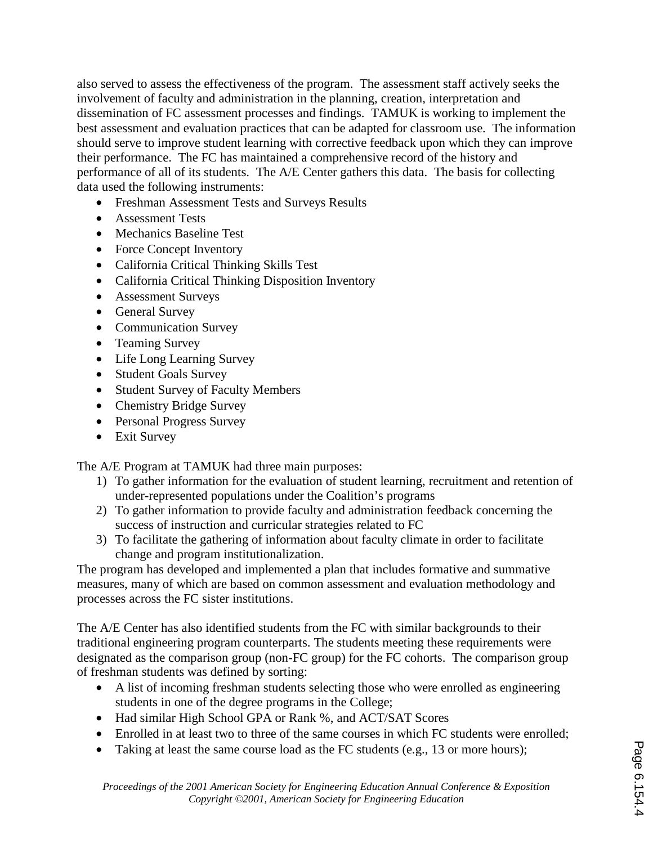also served to assess the effectiveness of the program. The assessment staff actively seeks the involvement of faculty and administration in the planning, creation, interpretation and dissemination of FC assessment processes and findings. TAMUK is working to implement the best assessment and evaluation practices that can be adapted for classroom use. The information should serve to improve student learning with corrective feedback upon which they can improve their performance. The FC has maintained a comprehensive record of the history and performance of all of its students. The A/E Center gathers this data. The basis for collecting data used the following instruments:

- Freshman Assessment Tests and Surveys Results
- Assessment Tests
- Mechanics Baseline Test
- Force Concept Inventory
- California Critical Thinking Skills Test
- California Critical Thinking Disposition Inventory
- Assessment Surveys
- General Survey
- Communication Survey
- Teaming Survey
- Life Long Learning Survey
- Student Goals Survey
- Student Survey of Faculty Members
- Chemistry Bridge Survey
- Personal Progress Survey
- Exit Survey

The A/E Program at TAMUK had three main purposes:

- 1) To gather information for the evaluation of student learning, recruitment and retention of under-represented populations under the Coalition's programs
- 2) To gather information to provide faculty and administration feedback concerning the success of instruction and curricular strategies related to FC
- 3) To facilitate the gathering of information about faculty climate in order to facilitate change and program institutionalization.

The program has developed and implemented a plan that includes formative and summative measures, many of which are based on common assessment and evaluation methodology and processes across the FC sister institutions.

The A/E Center has also identified students from the FC with similar backgrounds to their traditional engineering program counterparts. The students meeting these requirements were designated as the comparison group (non-FC group) for the FC cohorts. The comparison group of freshman students was defined by sorting:

- A list of incoming freshman students selecting those who were enrolled as engineering students in one of the degree programs in the College;
- Had similar High School GPA or Rank %, and ACT/SAT Scores
- Enrolled in at least two to three of the same courses in which FC students were enrolled;
- Taking at least the same course load as the FC students (e.g., 13 or more hours);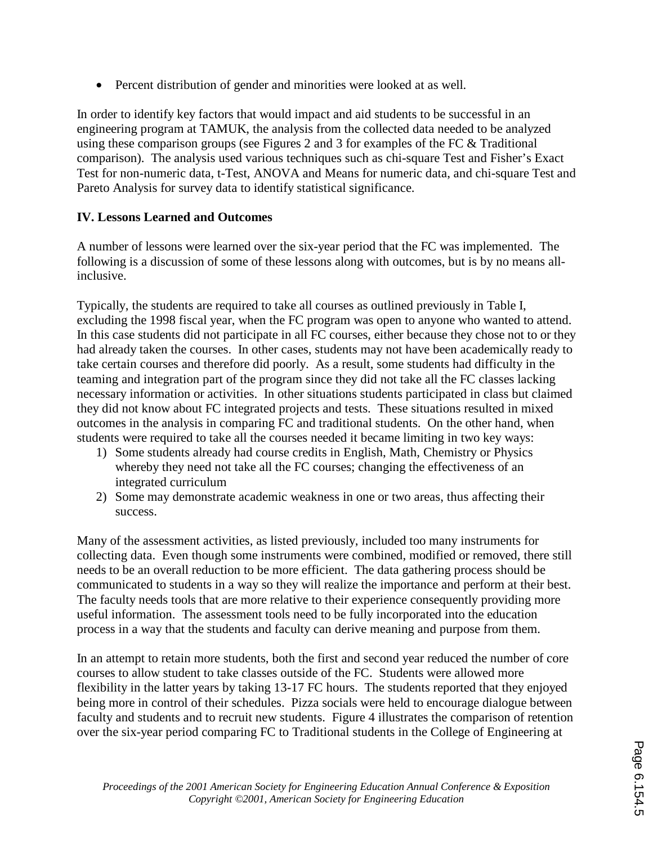• Percent distribution of gender and minorities were looked at as well.

In order to identify key factors that would impact and aid students to be successful in an engineering program at TAMUK, the analysis from the collected data needed to be analyzed using these comparison groups (see Figures 2 and 3 for examples of the FC & Traditional comparison). The analysis used various techniques such as chi-square Test and Fisher's Exact Test for non-numeric data, t-Test, ANOVA and Means for numeric data, and chi-square Test and Pareto Analysis for survey data to identify statistical significance.

## **IV. Lessons Learned and Outcomes**

A number of lessons were learned over the six-year period that the FC was implemented. The following is a discussion of some of these lessons along with outcomes, but is by no means allinclusive.

Typically, the students are required to take all courses as outlined previously in Table I, excluding the 1998 fiscal year, when the FC program was open to anyone who wanted to attend. In this case students did not participate in all FC courses, either because they chose not to or they had already taken the courses. In other cases, students may not have been academically ready to take certain courses and therefore did poorly. As a result, some students had difficulty in the teaming and integration part of the program since they did not take all the FC classes lacking necessary information or activities. In other situations students participated in class but claimed they did not know about FC integrated projects and tests. These situations resulted in mixed outcomes in the analysis in comparing FC and traditional students. On the other hand, when students were required to take all the courses needed it became limiting in two key ways:

- 1) Some students already had course credits in English, Math, Chemistry or Physics whereby they need not take all the FC courses; changing the effectiveness of an integrated curriculum
- 2) Some may demonstrate academic weakness in one or two areas, thus affecting their success.

Many of the assessment activities, as listed previously, included too many instruments for collecting data. Even though some instruments were combined, modified or removed, there still needs to be an overall reduction to be more efficient. The data gathering process should be communicated to students in a way so they will realize the importance and perform at their best. The faculty needs tools that are more relative to their experience consequently providing more useful information. The assessment tools need to be fully incorporated into the education process in a way that the students and faculty can derive meaning and purpose from them.

In an attempt to retain more students, both the first and second year reduced the number of core courses to allow student to take classes outside of the FC. Students were allowed more flexibility in the latter years by taking 13-17 FC hours. The students reported that they enjoyed being more in control of their schedules. Pizza socials were held to encourage dialogue between faculty and students and to recruit new students. Figure 4 illustrates the comparison of retention over the six-year period comparing FC to Traditional students in the College of Engineering at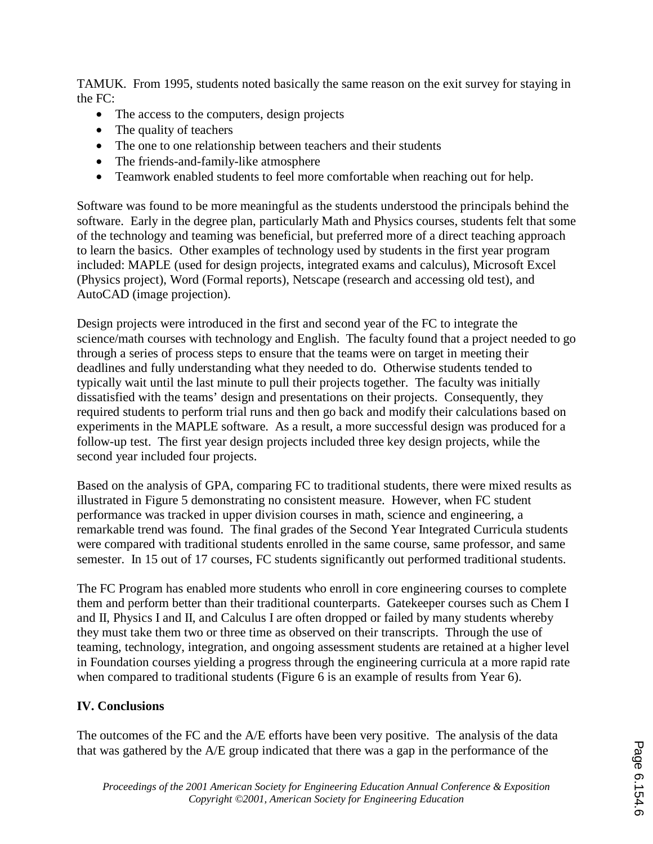TAMUK. From 1995, students noted basically the same reason on the exit survey for staying in the FC:

- The access to the computers, design projects
- The quality of teachers
- The one to one relationship between teachers and their students
- The friends-and-family-like atmosphere
- Teamwork enabled students to feel more comfortable when reaching out for help.

Software was found to be more meaningful as the students understood the principals behind the software. Early in the degree plan, particularly Math and Physics courses, students felt that some of the technology and teaming was beneficial, but preferred more of a direct teaching approach to learn the basics. Other examples of technology used by students in the first year program included: MAPLE (used for design projects, integrated exams and calculus), Microsoft Excel (Physics project), Word (Formal reports), Netscape (research and accessing old test), and AutoCAD (image projection).

Design projects were introduced in the first and second year of the FC to integrate the science/math courses with technology and English. The faculty found that a project needed to go through a series of process steps to ensure that the teams were on target in meeting their deadlines and fully understanding what they needed to do. Otherwise students tended to typically wait until the last minute to pull their projects together. The faculty was initially dissatisfied with the teams' design and presentations on their projects. Consequently, they required students to perform trial runs and then go back and modify their calculations based on experiments in the MAPLE software. As a result, a more successful design was produced for a follow-up test. The first year design projects included three key design projects, while the second year included four projects.

Based on the analysis of GPA, comparing FC to traditional students, there were mixed results as illustrated in Figure 5 demonstrating no consistent measure. However, when FC student performance was tracked in upper division courses in math, science and engineering, a remarkable trend was found. The final grades of the Second Year Integrated Curricula students were compared with traditional students enrolled in the same course, same professor, and same semester. In 15 out of 17 courses, FC students significantly out performed traditional students.

The FC Program has enabled more students who enroll in core engineering courses to complete them and perform better than their traditional counterparts. Gatekeeper courses such as Chem I and II, Physics I and II, and Calculus I are often dropped or failed by many students whereby they must take them two or three time as observed on their transcripts. Through the use of teaming, technology, integration, and ongoing assessment students are retained at a higher level in Foundation courses yielding a progress through the engineering curricula at a more rapid rate when compared to traditional students (Figure 6 is an example of results from Year 6).

## **IV. Conclusions**

The outcomes of the FC and the A/E efforts have been very positive. The analysis of the data that was gathered by the A/E group indicated that there was a gap in the performance of the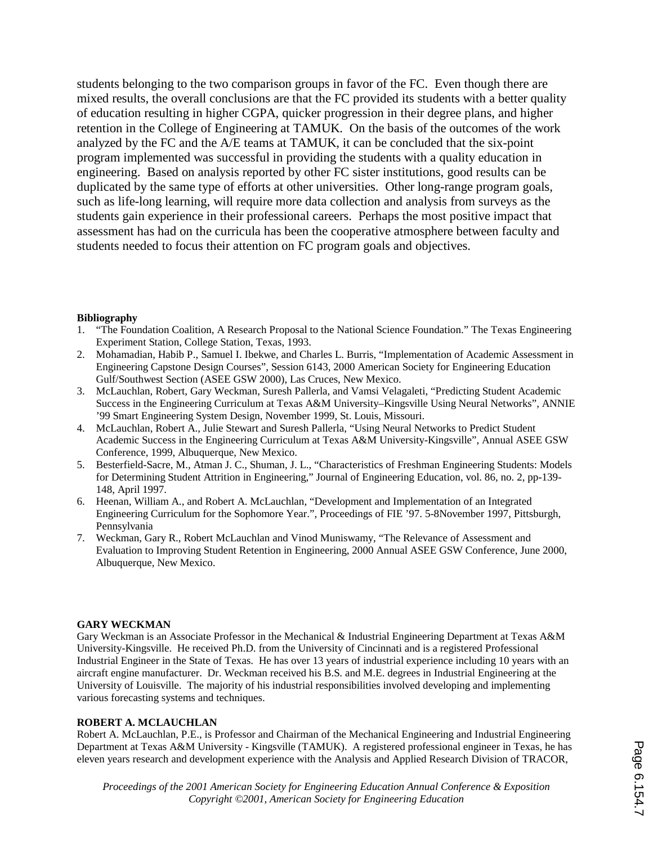students belonging to the two comparison groups in favor of the FC. Even though there are mixed results, the overall conclusions are that the FC provided its students with a better quality of education resulting in higher CGPA, quicker progression in their degree plans, and higher retention in the College of Engineering at TAMUK. On the basis of the outcomes of the work analyzed by the FC and the A/E teams at TAMUK, it can be concluded that the six-point program implemented was successful in providing the students with a quality education in engineering. Based on analysis reported by other FC sister institutions, good results can be duplicated by the same type of efforts at other universities. Other long-range program goals, such as life-long learning, will require more data collection and analysis from surveys as the students gain experience in their professional careers. Perhaps the most positive impact that assessment has had on the curricula has been the cooperative atmosphere between faculty and students needed to focus their attention on FC program goals and objectives.

#### **Bibliography**

- 1. "The Foundation Coalition, A Research Proposal to the National Science Foundation." The Texas Engineering Experiment Station, College Station, Texas, 1993.
- 2. Mohamadian, Habib P., Samuel I. Ibekwe, and Charles L. Burris, "Implementation of Academic Assessment in Engineering Capstone Design Courses", Session 6143, 2000 American Society for Engineering Education Gulf/Southwest Section (ASEE GSW 2000), Las Cruces, New Mexico.
- 3. McLauchlan, Robert, Gary Weckman, Suresh Pallerla, and Vamsi Velagaleti, "Predicting Student Academic Success in the Engineering Curriculum at Texas A&M University–Kingsville Using Neural Networks", ANNIE '99 Smart Engineering System Design, November 1999, St. Louis, Missouri.
- 4. McLauchlan, Robert A., Julie Stewart and Suresh Pallerla, "Using Neural Networks to Predict Student Academic Success in the Engineering Curriculum at Texas A&M University-Kingsville", Annual ASEE GSW Conference, 1999, Albuquerque, New Mexico.
- 5. Besterfield-Sacre, M., Atman J. C., Shuman, J. L., "Characteristics of Freshman Engineering Students: Models for Determining Student Attrition in Engineering," Journal of Engineering Education, vol. 86, no. 2, pp-139- 148, April 1997.
- 6. Heenan, William A., and Robert A. McLauchlan, "Development and Implementation of an Integrated Engineering Curriculum for the Sophomore Year.", Proceedings of FIE '97. 5-8November 1997, Pittsburgh, Pennsylvania
- 7. Weckman, Gary R., Robert McLauchlan and Vinod Muniswamy, "The Relevance of Assessment and Evaluation to Improving Student Retention in Engineering, 2000 Annual ASEE GSW Conference, June 2000, Albuquerque, New Mexico.

#### **GARY WECKMAN**

Gary Weckman is an Associate Professor in the Mechanical & Industrial Engineering Department at Texas A&M University-Kingsville. He received Ph.D. from the University of Cincinnati and is a registered Professional Industrial Engineer in the State of Texas. He has over 13 years of industrial experience including 10 years with an aircraft engine manufacturer. Dr. Weckman received his B.S. and M.E. degrees in Industrial Engineering at the University of Louisville. The majority of his industrial responsibilities involved developing and implementing various forecasting systems and techniques.

#### **ROBERT A. MCLAUCHLAN**

Robert A. McLauchlan, P.E., is Professor and Chairman of the Mechanical Engineering and Industrial Engineering Department at Texas A&M University - Kingsville (TAMUK). A registered professional engineer in Texas, he has eleven years research and development experience with the Analysis and Applied Research Division of TRACOR,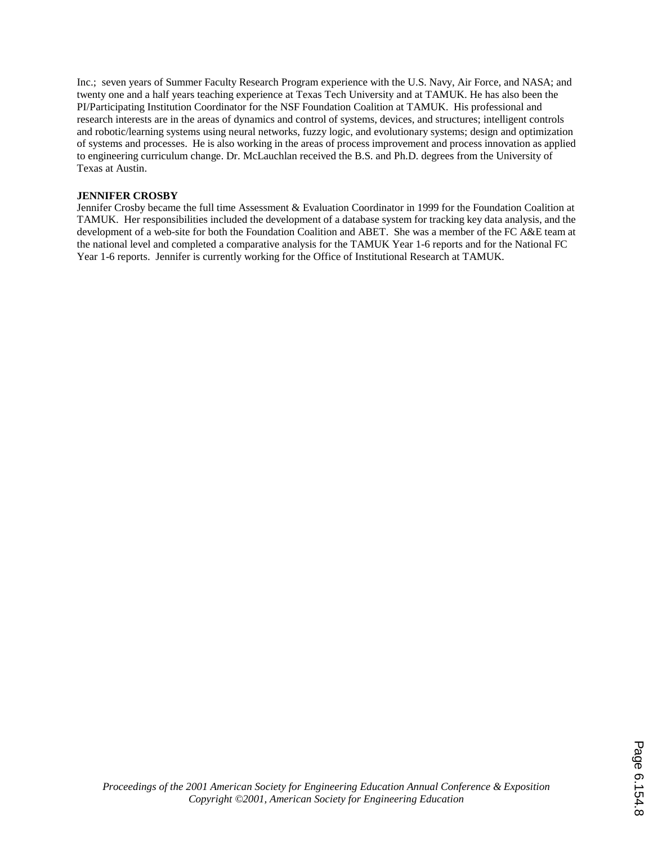Inc.; seven years of Summer Faculty Research Program experience with the U.S. Navy, Air Force, and NASA; and twenty one and a half years teaching experience at Texas Tech University and at TAMUK. He has also been the PI/Participating Institution Coordinator for the NSF Foundation Coalition at TAMUK. His professional and research interests are in the areas of dynamics and control of systems, devices, and structures; intelligent controls and robotic/learning systems using neural networks, fuzzy logic, and evolutionary systems; design and optimization of systems and processes. He is also working in the areas of process improvement and process innovation as applied to engineering curriculum change. Dr. McLauchlan received the B.S. and Ph.D. degrees from the University of Texas at Austin.

#### **JENNIFER CROSBY**

Jennifer Crosby became the full time Assessment & Evaluation Coordinator in 1999 for the Foundation Coalition at TAMUK. Her responsibilities included the development of a database system for tracking key data analysis, and the development of a web-site for both the Foundation Coalition and ABET. She was a member of the FC A&E team at the national level and completed a comparative analysis for the TAMUK Year 1-6 reports and for the National FC Year 1-6 reports. Jennifer is currently working for the Office of Institutional Research at TAMUK.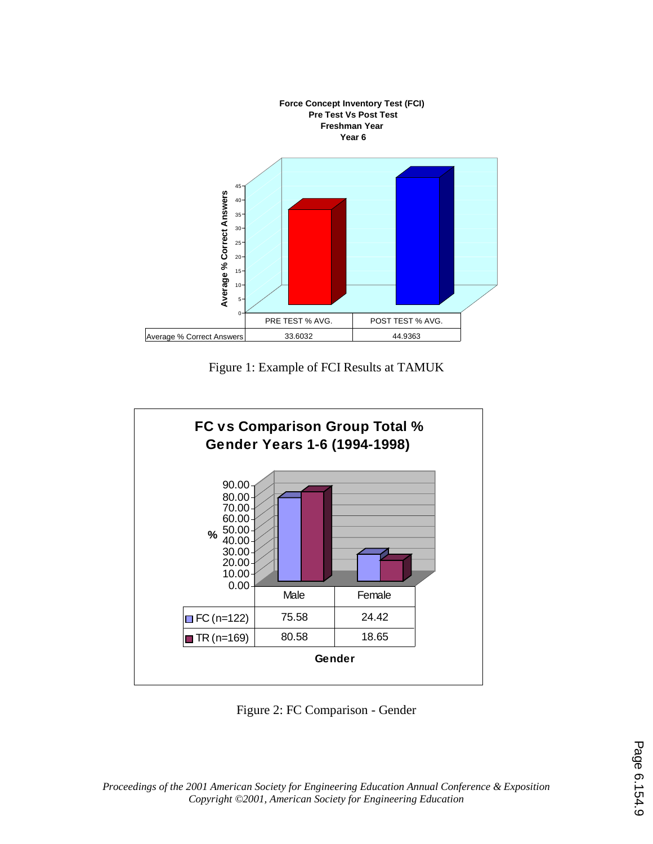

Figure 1: Example of FCI Results at TAMUK



Figure 2: FC Comparison - Gender

*Proceedings of the 2001 American Society for Engineering Education Annual Conference & Exposition Copyright ©2001, American Society for Engineering Education*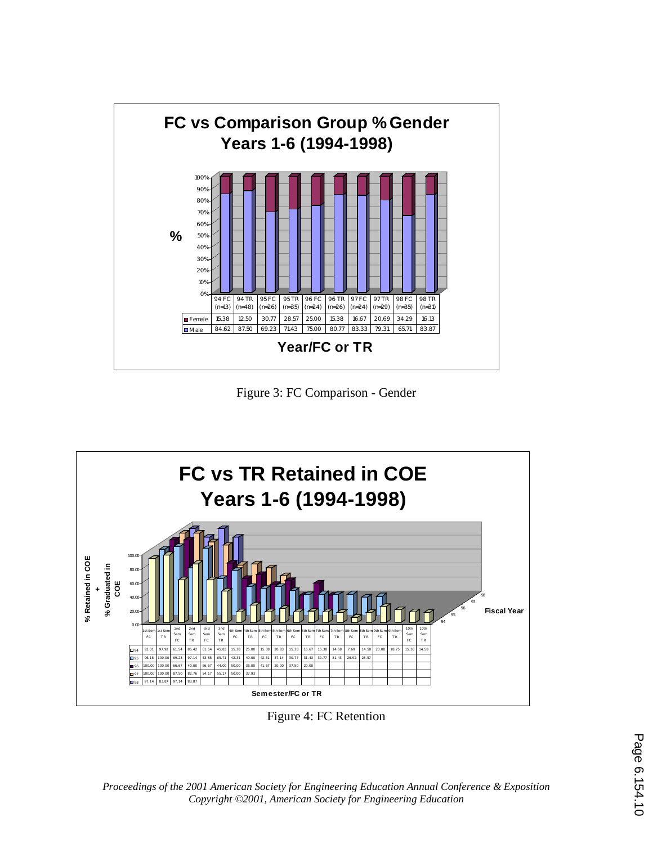

Figure 3: FC Comparison - Gender



Figure 4: FC Retention